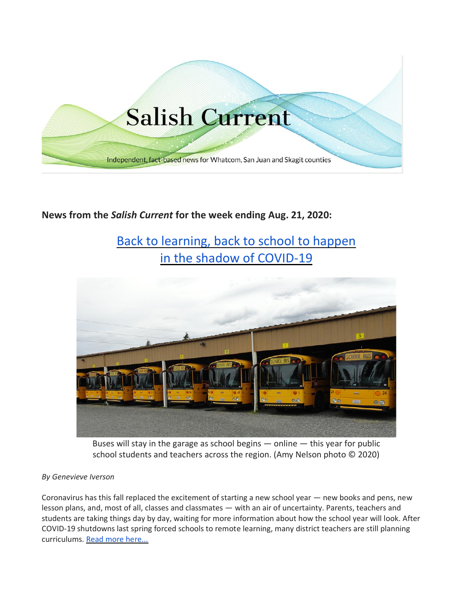

## **News from the** *Salish Current* **for the week ending Aug. 21, 2020:**

# [Back to learning, back to school to happen](https://salish-current.org/2020/08/20/back-to-learning-back-to-school-to-happen-in-the-shadow-of-covid-19/) [in the shadow of COVID-19](https://salish-current.org/2020/08/20/back-to-learning-back-to-school-to-happen-in-the-shadow-of-covid-19/)



Buses will stay in the garage as school begins  $-$  online  $-$  this year for public school students and teachers across the region. (Amy Nelson photo © 2020)

#### *By Genevieve Iverson*

Coronavirus has this fall replaced the excitement of starting a new school year — new books and pens, new lesson plans, and, most of all, classes and classmates — with an air of uncertainty. Parents, teachers and students are taking things day by day, waiting for more information about how the school year will look. After COVID-19 shutdowns last spring forced schools to remote learning, many district teachers are still planning curriculums. [Read more here...](https://salish-current.org/2020/08/20/back-to-learning-back-to-school-to-happen-in-the-shadow-of-covid-19/)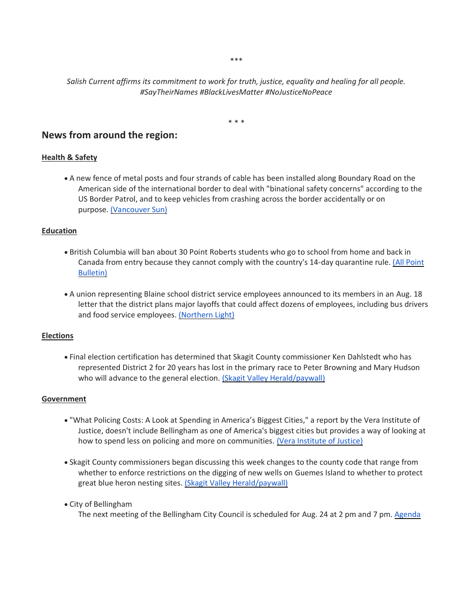\*\*\*

#### *Salish Current affirms its commitment to work for truth, justice, equality and healing for all people. #SayTheirNames #BlackLivesMatter #NoJusticeNoPeace*

\* \* \*

### **News from around the region:**

#### **Health & Safety**

• A new fence of metal posts and four strands of cable has been installed along Boundary Road on the American side of the international border to deal with "binational safety concerns" according to the US Border Patrol, and to keep vehicles from crashing across the border accidentally or on purpose. [\(Vancouver Sun\)](https://vancouversun.com/news/border-fence-south-of-aldergrove-simply-a-road-safety-measure-officials-claim)

#### **Education**

- British Columbia will ban about 30 Point Roberts students who go to school from home and back in Canada from entry because they cannot comply with the country's 14-day quarantine rule. [\(All Point](https://www.allpointbulletin.com/stories/point-roberts-students-attending-school-in-bc-are-subject-to-14-day-quarantine,11224)  [Bulletin\)](https://www.allpointbulletin.com/stories/point-roberts-students-attending-school-in-bc-are-subject-to-14-day-quarantine,11224)
- A union representing Blaine school district service employees announced to its members in an Aug. 18 letter that the district plans major layoffs that could affect dozens of employees, including bus drivers and food service employees. [\(Northern Light\)](https://www.thenorthernlight.com/stories/layoffs-loom-at-blaine-schools,11245?)

#### **Elections**

• Final election certification has determined that Skagit County commissioner Ken Dahlstedt who has represented District 2 for 20 years has lost in the primary race to Peter Browning and Mary Hudson who will advance to the general election. [\(Skagit Valley Herald/paywall\)](https://www.goskagit.com/news/local_news/dahlstedt-out-after-election-gets-certified/article_efcde2b3-b575-51a4-9575-c7e01a65e9bf.html)

#### **Government**

- "What Policing Costs: A Look at Spending in America's Biggest Cities," a report by the Vera Institute of Justice, doesn't include Bellingham as one of America's biggest cities but provides a way of looking at how to spend less on policing and more on communities. [\(Vera Institute of Justice\)](https://www.vera.org/publications/what-policing-costs-in-americas-biggest-cities/)
- Skagit County commissioners began discussing this week changes to the county code that range from whether to enforce restrictions on the digging of new wells on Guemes Island to whether to protect great blue heron nesting sites. [\(Skagit Valley Herald/paywall\)](https://www.goskagit.com/news/local_news/commissioners-weigh-changes-to-county-code/article_b7e336e0-0e3c-5a7b-9c2f-cae2d5f45028.html)
- City of Bellingham

The next meeting of the Bellingham City Council is scheduled for Aug. 24 at 2 pm and 7 pm. [Agenda](https://meetings.cob.org/Meetings/ViewMeeting?id=2272&doctype=1)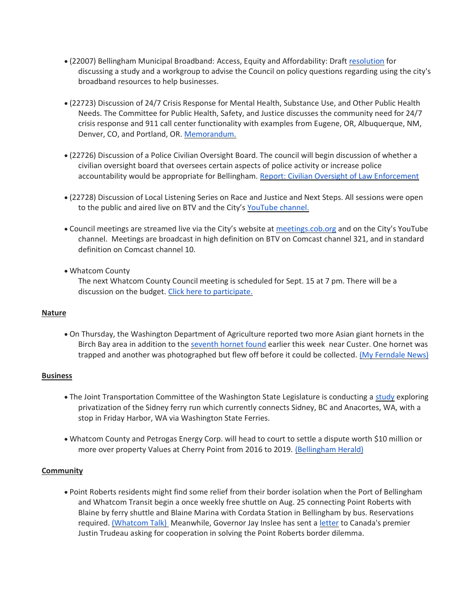- (22007) Bellingham Municipal Broadband: Access, Equity and Affordability: Draft [resolution](https://meetings.cob.org/Documents/ViewDocument/Attachment%20-%20RESOLUTION%20-%20AB_%2022007.pdf?meetingId=2272&documentType=Agenda&itemId=15747&publishId=16832&isSection=false) for discussing a study and a workgroup to advise the Council on policy questions regarding using the city's broadband resources to help businesses.
- (22723) Discussion of 24/7 Crisis Response for Mental Health, Substance Use, and Other Public Health Needs. The Committee for Public Health, Safety, and Justice discusses the community need for 24/7 crisis response and 911 call center functionality with examples from Eugene, OR, Albuquerque, NM, Denver, CO, and Portland, OR. [Memorandum.](https://meetings.cob.org/Documents/ViewDocument/Attachment%20-%20STAFF%20MEMO%20-%20AB_%2022723.pdf?meetingId=2272&documentType=Agenda&itemId=15754&publishId=16845&isSection=false)
- (22726) Discussion of a Police Civilian Oversight Board. The council will begin discussion of whether a civilian oversight board that oversees certain aspects of police activity or increase police accountability would be appropriate for Bellingham. [Report: Civilian Oversight of Law Enforcement](https://meetings.cob.org/Documents/ViewDocument/Attachment%20-%20REPORT%20ON%20CIVILIAN%20OVERSIGHT%20-%20AB_%2022726.pdf?meetingId=2274&documentType=Agenda&itemId=15737&publishId=16756&isSection=false)
- (22728) Discussion of Local Listening Series on Race and Justice and Next Steps. All sessions were open to the public and aired live on BTV and the City's [YouTube channel.](https://meetings.cob.org/Documents/ViewDocument/Staff%20Memo%20for%20AB%2022728.pdf?meetingId=2274&documentType=Agenda&itemId=15738&publishId=16763&isSection=false)
- Council meetings are streamed live via the City's website at [meetings.cob.org](http://meetings.cob.org/) and on the City's YouTube channel. Meetings are broadcast in high definition on BTV on Comcast channel 321, and in standard definition on Comcast channel 10.
- Whatcom County

The next Whatcom County Council meeting is scheduled for Sept. 15 at 7 pm. There will be a discussion on the budget. [Click here to participate.](http://www.whatcomcounty.us/3415/Participate-in-Virtual-Council-Meetings)

#### **Nature**

• On Thursday, the Washington Department of Agriculture reported two more Asian giant hornets in the Birch Bay area in addition to the [seventh hornet found](https://www.bellinghamherald.com/news/local/article245017955.html) earlier this week near Custer. One hornet was trapped and another was photographed but flew off before it could be collected. [\(My Ferndale News\)](https://myferndalenews.com/wsda-reports-2-more-confirmed-asian-giant-hornet-sightings-north-of-ferndale_106398/)

#### **Business**

- The Joint Transportation Committee of the Washington State Legislature is conducting a [study](https://docs.google.com/forms/d/e/1FAIpQLScp81l-NvWGwEHGxdz4HDXdQHMoP4tsu9gV2lc1Z6voPSb8pw/viewform) exploring privatization of the Sidney ferry run which currently connects Sidney, BC and Anacortes, WA, with a stop in Friday Harbor, WA via Washington State Ferries.
- Whatcom County and Petrogas Energy Corp. will head to court to settle a dispute worth \$10 million or more over property Values at Cherry Point from 2016 to 2019. [\(Bellingham Herald\)](https://www.bellinghamherald.com/news/local/article244907322.html)

#### **Community**

• Point Roberts residents might find some relief from their border isolation when the Port of Bellingham and Whatcom Transit begin a once weekly free shuttle on Aug. 25 connecting Point Roberts with Blaine by ferry shuttle and Blaine Marina with Cordata Station in Bellingham by bus. Reservations required. [\(Whatcom Talk\)](https://www.whatcomtalk.com/2020/08/20/port-of-bellingham-and-whatcom-transportation-authority-begin-temporary-emergency-transportation-service-from-point-roberts/) Meanwhile, Governor Jay Inslee has sent a [letter](https://www.governor.wa.gov/sites/default/files/Letter%20from%20Governor%20Inslee%20to%20Prime%20Minister%20Trudeau.pdf?utm_medium=email&utm_source=govdelivery) to Canada's premier Justin Trudeau asking for cooperation in solving the Point Roberts border dilemma.